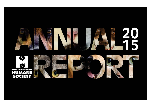

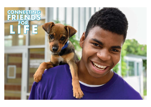# **CONNECTING FRIENDSFOR LIFE**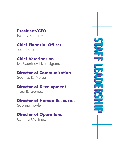**President/CEO** Nancy F. Najim

**Chief Financial Officer** Jean Flores

**Chief Veterinarian**Dr. Courtney H. Bridgeman

**Director of Communication**Seamus R. Nelson

**Director of Development** Traci B. Gomez

**Director of Human Resources**Sabrina Fowler

**Director of Operations** Cynthia Martinez

**STAFF LEADERSHIP STAFF LEADERSHIP**  $\frac{1}{2}$ **EALD**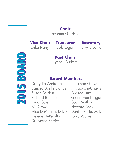### **Chair**

Lavonne Garrison

**Vice Chair**Erika Ivanyi

**Treasurer**Bob Logan

**Secretary** Terry Brechtel

#### **Past Chair**Lynnell Burkett

### **Board Members**

Dr. Lydia Andrade Sandra Banks DanceSusan BeldonRichard BrauneDina ColeBill CrowAlex DePeralta, D.D.S. Denise Pride, M.D. Helene DePeraltaDr. Maria Ferrier

Jonathan Gurwitz Jill Jackson-Chavis Andrea LutzGlenn MacTaggart Scott MatkinHoward PeakLarry Walker

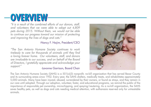### **OVERVIEW OVERVIEW**

*"It is a result of the combined efforts of our donors, staff, and volunteers that we were able to adopt out 4,809 pets during 2015. Without them, we would not be able to continue our progress toward our mission of protecting and improving the lives of dogs and cats."*

#### -Nancy F. Najim, President/CEO

*"The San Antonio Humane Society continues to work Kirelessly to care for thousands of animals until they find a loving forever home. Our volunteers, staff, and donors are invaluable to our success, and on behalf of the Board of Directors, I gratefully appreciate and acknowledge your support."* -Lavonne Garrison, Board Chair



The San Antonio Humane Society (SAHS) is a 501(c)(3) nonprofit, no-kill organization that has served Bexar County and its surrounding areas since 1952. Every year, the SAHS shelters, medically treats, and rehabilitates approximately 5,000 animals. Many have been injured, abused, surrendered by their owners, or found as strays, and they remain in our care until adopted. Through our adoption, volunteer, foster, and educational programs, we remind the public of the importance of responsible pet ownership, microchipping, and spaying/neutering. As a no-kill organization, the SAHS saves healthy pets, as well as dogs and cats needing medical attention, with euthanasia reserved only for untreatable animals.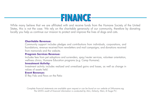

While many believe that we are affiliated with and receive funds from the Humane Society of the United States, this is not the case. We rely on the charitable generosity of our community, therefore by donating locally you help us continue our mission to protect and improve the lives of dogs and cats.

#### **Charitable Revenue:**

Community support includes pledges and contributions from individuals, corporations, and foundations; revenue received from newsletters and mail campaigns; and donations received from memorials and the website.

#### **Program Services Revenue:**

Includes fees from pet adoptions and surrenders, spay/neuter services, volunteer orientation, wellness clinics, Humane Education programs (e.g. Camp Humane).

#### **Investment Activity:**

Investment activity includes realized and unrealized gains and losses, as well as change in values of assets held.

#### **Event Revenue:**

El Rey Fido and Paws on the Patio

Complete financial statements are available upon request or can be found on our website at SAhumane.org. *The SAHS's qudit of financial information is conducted by Akin, Doherty, Klein, & Feuge P.C.*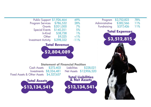

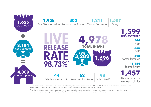

*\**Live-release rate = (adopted + transferred + returned)/total intake. Total intake for 2015 is 4,978 which accounts for the pets who were brought to the shelter in 2015, but did not find their forever placement until after the end of the year.

*<sup>t</sup>*In a shelter environment, it is impossible to have a 100% live-release rate. The shelter only euthanizes animals that we are unable to treat, have a condition that poses a significant threat to the other animals in the shelter, or that cannot be rehabilitated.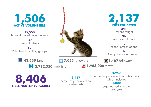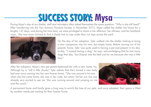### **SUCCESS STORY: SUCCESS STORY: Mysa**

During Mysa's stay at our shelter, staff and volunteers often asked themselves the same question: "Why is she still here?" After transferring into the San Antonio Humane Society in November 2015, Mysa called the shelter her home for a lengthy 147 days, and during her time here, we were privileged to share in her affection, her silliness, and her laid-back ways. She was more inclined to find a shady tree to nap under than run laps across the yard.



On the day of her adoption, Tyler walked into the shelter looking to bring a new companion into his new, but empty home. Before moving out of his parents' home, Tyler was quite used to having a pet ever-present in his dayto-day. "I missed having a dog," he says, acknowledging that he met many dogs that day, "but [Mysa] was the best one for me because she was a little lazy."

After her adoption, Mysa's new pet parent bestowed her with a new name: Ivy. Although Ivy is "still a little chunky" Tyler admits that she's turned a new lively leaf ever since coming into her new forever home. "She runs around a lot now... when she first came home, she was in her crate, but when I let her out, she was already very excited to see me. She was running around and jumping on me and the couch."



A permanent home and family goes a long way to enrich the lives of our pets, and once adopted, their space is filled by another needy pet waiting for their forever home.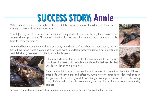## **SUCCESS STORY: SUCCESS STORY: Annie**

When Emma stopped by the Kitty Pavilion in October to meet its newest resident, she found herself visiting her newest family member: Annie!

"I took [Annie] out of her kennel and she immediately started to purr and lick my face," says Emma, Annie's doting pet parent, "I knew after holding her for just a few minutes that it was going to be hard to leave her there."

Annie had been brought to the shelter as a stray by a shelter staff member. She was already missing her left eye when it was determined she would have to undergo surgery to remove her right one as well. Blindness, however, did little to slow Annie down.



"She adapted so quickly to her life at home with me. I was nervous about her blindness, but I completely under-estimated her abilities! She doesn't let anything stop her."

Emma has a lot to say about her life with Annie. It's clear that these two fill each other's life with joy, care, and affection. Annie currently spends her days frolicking in the garden with her 1 dog and 4 cat siblings, wading on the top steps of the family pool, climbing all over the house furniture, and traveling to friend's homes on her kitty harness.

"Annie is a constant bright and happy presence in our family, and we are so thankful for her."



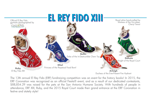

Duchess of the Ever-Present Fire Hydrant

The 13th annual El Rey Fido (ERF) fundraising competition was an event for the history books! In 2015, the ERF Coronation was recognized as an official Fiesta® event, and as a result of our dedicated contestants, \$88,854.29 was raised for the pets at the San Antonio Humane Society. With hundreds of people in attendance, ERF XIII, Ruby, and the 2015 Royal Court made their grand entrance at the ERF Coronation in festive and stately style!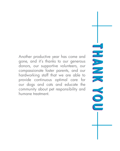gone, and it's thanks to our generous donors, our supportive volunteers, our compassionate foster parents, and our hardworking staff that we are able to provide continuous optimal care for our dogs and cats and educate the community about pet responsibility and humane treatment.

Another productive year has come and

**THANK YOU THANK YOU**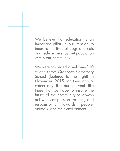We believe that education is an important pillar in our mission to improve the lives of dogs and cats and reduce the stray pet population within our community.

We were privileged to welcome 110 students from Graebner Elementary School (featured to the right) in November 2015 for their annual career day. It is during events like these that we hope to inspire the future of the community to always act with compassion, respect, and responsibility towards people, animals, and their environment.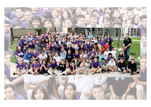